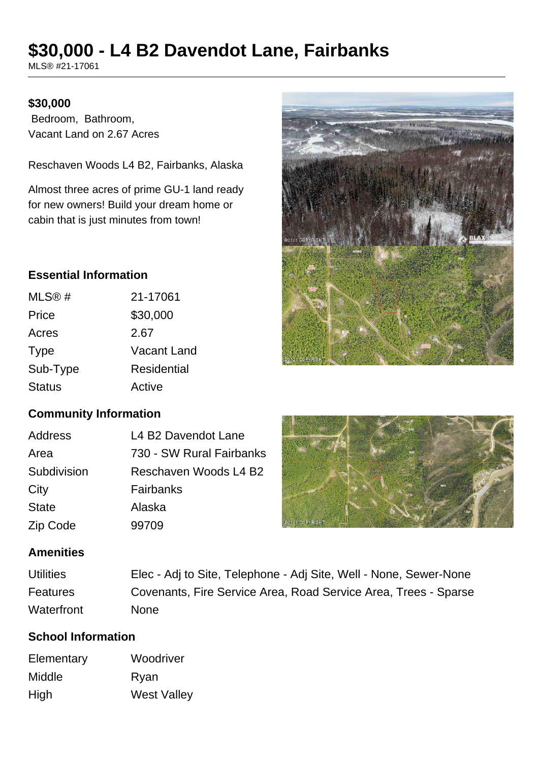# **\$30,000 - L4 B2 Davendot Lane, Fairbanks**

MLS® #21-17061

#### **\$30,000**

 Bedroom, Bathroom, Vacant Land on 2.67 Acres

Reschaven Woods L4 B2, Fairbanks, Alaska

Almost three acres of prime GU-1 land ready for new owners! Build your dream home or cabin that is just minutes from town!

# **Essential Information**

| MLS@#         | 21-17061           |
|---------------|--------------------|
| Price         | \$30,000           |
| Acres         | 2.67               |
| <b>Type</b>   | <b>Vacant Land</b> |
| Sub-Type      | Residential        |
| <b>Status</b> | Active             |

# **Community Information**

| Address      | L4 B2 Davendot Lane      |
|--------------|--------------------------|
| Area         | 730 - SW Rural Fairbanks |
| Subdivision  | Reschaven Woods L4 B2    |
| City         | Fairbanks                |
| <b>State</b> | Alaska                   |
| Zip Code     | 99709                    |



#### **Amenities**

| <b>Utilities</b> | Elec - Adj to Site, Telephone - Adj Site, Well - None, Sewer-None |
|------------------|-------------------------------------------------------------------|
| <b>Features</b>  | Covenants, Fire Service Area, Road Service Area, Trees - Sparse   |
| Waterfront       | <b>None</b>                                                       |

# **School Information**

| Woodriver          |
|--------------------|
| Ryan               |
| <b>West Valley</b> |
|                    |